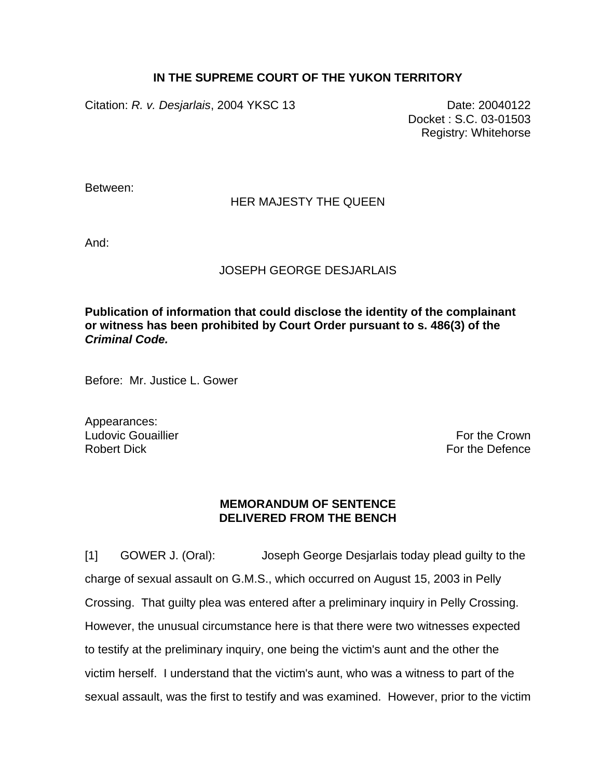## **IN THE SUPREME COURT OF THE YUKON TERRITORY**

Citation: *R. v. Desjarlais*, 2004 YKSC 13 Date: 20040122

Docket : S.C. 03-01503 Registry: Whitehorse

Between:

## HER MAJESTY THE QUEEN

And:

## JOSEPH GEORGE DESJARLAIS

**Publication of information that could disclose the identity of the complainant or witness has been prohibited by Court Order pursuant to s. 486(3) of the**  *Criminal Code.*

Before: Mr. Justice L. Gower

Appearances: Ludovic Gouaillier **For the Crown** Robert Dick For the Defence

## **MEMORANDUM OF SENTENCE DELIVERED FROM THE BENCH**

[1] GOWER J. (Oral): Joseph George Desjarlais today plead guilty to the charge of sexual assault on G.M.S., which occurred on August 15, 2003 in Pelly Crossing. That guilty plea was entered after a preliminary inquiry in Pelly Crossing. However, the unusual circumstance here is that there were two witnesses expected to testify at the preliminary inquiry, one being the victim's aunt and the other the victim herself. I understand that the victim's aunt, who was a witness to part of the sexual assault, was the first to testify and was examined. However, prior to the victim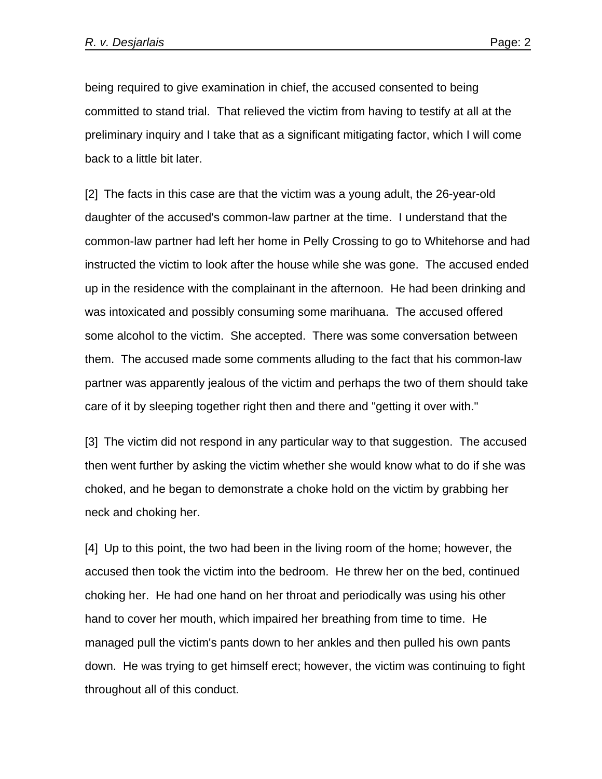being required to give examination in chief, the accused consented to being committed to stand trial. That relieved the victim from having to testify at all at the preliminary inquiry and I take that as a significant mitigating factor, which I will come back to a little bit later.

[2] The facts in this case are that the victim was a young adult, the 26-year-old daughter of the accused's common-law partner at the time. I understand that the common-law partner had left her home in Pelly Crossing to go to Whitehorse and had instructed the victim to look after the house while she was gone. The accused ended up in the residence with the complainant in the afternoon. He had been drinking and was intoxicated and possibly consuming some marihuana. The accused offered some alcohol to the victim. She accepted. There was some conversation between them. The accused made some comments alluding to the fact that his common-law partner was apparently jealous of the victim and perhaps the two of them should take care of it by sleeping together right then and there and "getting it over with."

[3] The victim did not respond in any particular way to that suggestion. The accused then went further by asking the victim whether she would know what to do if she was choked, and he began to demonstrate a choke hold on the victim by grabbing her neck and choking her.

[4] Up to this point, the two had been in the living room of the home; however, the accused then took the victim into the bedroom. He threw her on the bed, continued choking her. He had one hand on her throat and periodically was using his other hand to cover her mouth, which impaired her breathing from time to time. He managed pull the victim's pants down to her ankles and then pulled his own pants down. He was trying to get himself erect; however, the victim was continuing to fight throughout all of this conduct.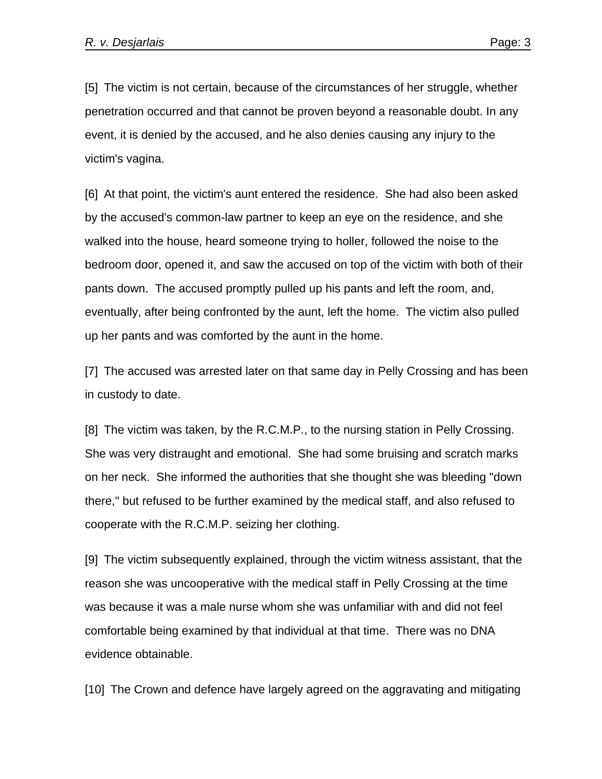[5] The victim is not certain, because of the circumstances of her struggle, whether penetration occurred and that cannot be proven beyond a reasonable doubt. In any event, it is denied by the accused, and he also denies causing any injury to the victim's vagina.

[6] At that point, the victim's aunt entered the residence. She had also been asked by the accused's common-law partner to keep an eye on the residence, and she walked into the house, heard someone trying to holler, followed the noise to the bedroom door, opened it, and saw the accused on top of the victim with both of their pants down. The accused promptly pulled up his pants and left the room, and, eventually, after being confronted by the aunt, left the home. The victim also pulled up her pants and was comforted by the aunt in the home.

[7] The accused was arrested later on that same day in Pelly Crossing and has been in custody to date.

[8] The victim was taken, by the R.C.M.P., to the nursing station in Pelly Crossing. She was very distraught and emotional. She had some bruising and scratch marks on her neck. She informed the authorities that she thought she was bleeding "down there," but refused to be further examined by the medical staff, and also refused to cooperate with the R.C.M.P. seizing her clothing.

[9] The victim subsequently explained, through the victim witness assistant, that the reason she was uncooperative with the medical staff in Pelly Crossing at the time was because it was a male nurse whom she was unfamiliar with and did not feel comfortable being examined by that individual at that time. There was no DNA evidence obtainable.

[10] The Crown and defence have largely agreed on the aggravating and mitigating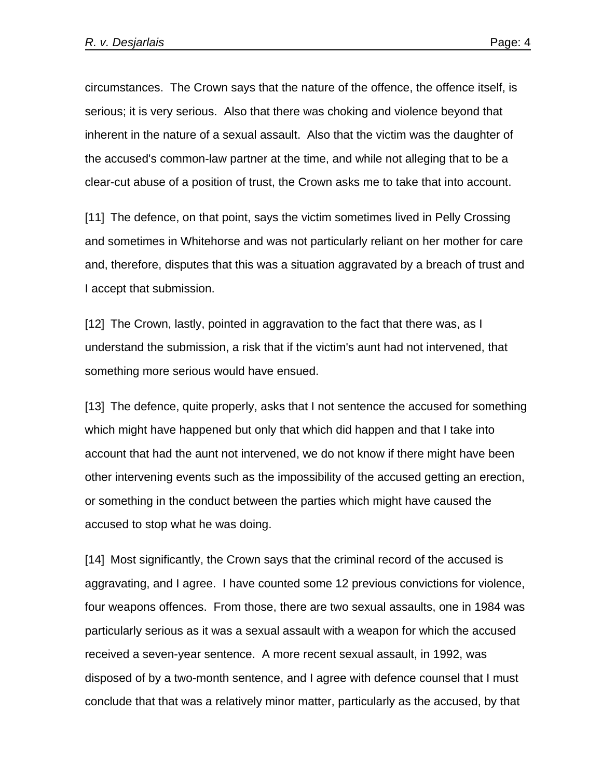circumstances. The Crown says that the nature of the offence, the offence itself, is serious; it is very serious. Also that there was choking and violence beyond that inherent in the nature of a sexual assault. Also that the victim was the daughter of the accused's common-law partner at the time, and while not alleging that to be a clear-cut abuse of a position of trust, the Crown asks me to take that into account.

[11] The defence, on that point, says the victim sometimes lived in Pelly Crossing and sometimes in Whitehorse and was not particularly reliant on her mother for care and, therefore, disputes that this was a situation aggravated by a breach of trust and I accept that submission.

[12] The Crown, lastly, pointed in aggravation to the fact that there was, as I understand the submission, a risk that if the victim's aunt had not intervened, that something more serious would have ensued.

[13] The defence, quite properly, asks that I not sentence the accused for something which might have happened but only that which did happen and that I take into account that had the aunt not intervened, we do not know if there might have been other intervening events such as the impossibility of the accused getting an erection, or something in the conduct between the parties which might have caused the accused to stop what he was doing.

[14] Most significantly, the Crown says that the criminal record of the accused is aggravating, and I agree. I have counted some 12 previous convictions for violence, four weapons offences. From those, there are two sexual assaults, one in 1984 was particularly serious as it was a sexual assault with a weapon for which the accused received a seven-year sentence. A more recent sexual assault, in 1992, was disposed of by a two-month sentence, and I agree with defence counsel that I must conclude that that was a relatively minor matter, particularly as the accused, by that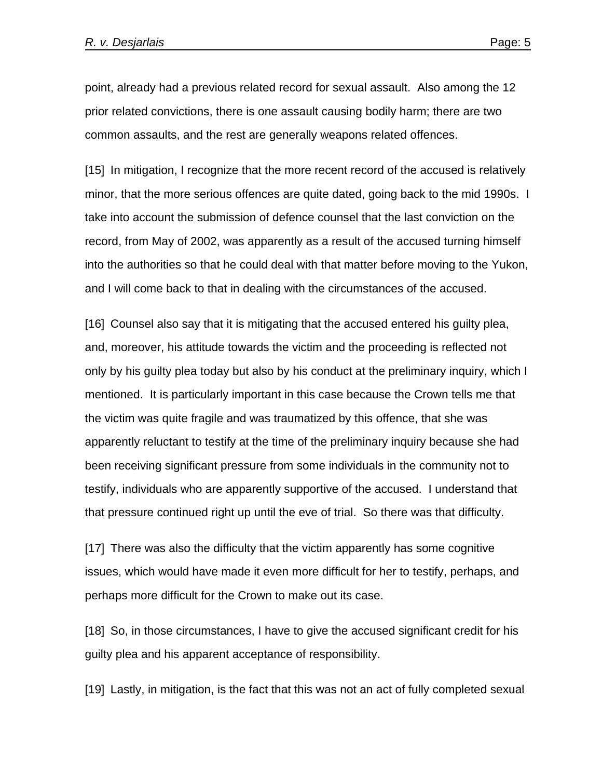point, already had a previous related record for sexual assault. Also among the 12 prior related convictions, there is one assault causing bodily harm; there are two common assaults, and the rest are generally weapons related offences.

[15] In mitigation, I recognize that the more recent record of the accused is relatively minor, that the more serious offences are quite dated, going back to the mid 1990s. I take into account the submission of defence counsel that the last conviction on the record, from May of 2002, was apparently as a result of the accused turning himself into the authorities so that he could deal with that matter before moving to the Yukon, and I will come back to that in dealing with the circumstances of the accused.

[16] Counsel also say that it is mitigating that the accused entered his guilty plea, and, moreover, his attitude towards the victim and the proceeding is reflected not only by his guilty plea today but also by his conduct at the preliminary inquiry, which I mentioned. It is particularly important in this case because the Crown tells me that the victim was quite fragile and was traumatized by this offence, that she was apparently reluctant to testify at the time of the preliminary inquiry because she had been receiving significant pressure from some individuals in the community not to testify, individuals who are apparently supportive of the accused. I understand that that pressure continued right up until the eve of trial. So there was that difficulty.

[17] There was also the difficulty that the victim apparently has some cognitive issues, which would have made it even more difficult for her to testify, perhaps, and perhaps more difficult for the Crown to make out its case.

[18] So, in those circumstances, I have to give the accused significant credit for his guilty plea and his apparent acceptance of responsibility.

[19] Lastly, in mitigation, is the fact that this was not an act of fully completed sexual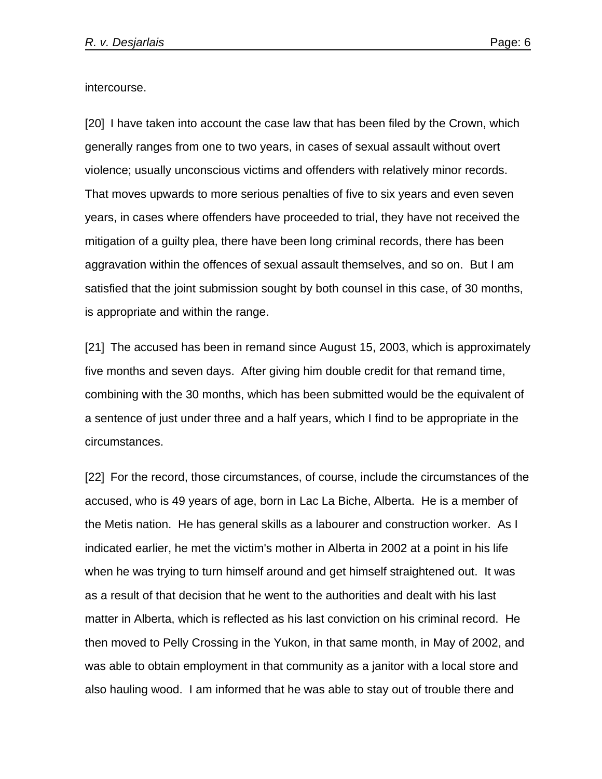intercourse.

[20] I have taken into account the case law that has been filed by the Crown, which generally ranges from one to two years, in cases of sexual assault without overt violence; usually unconscious victims and offenders with relatively minor records. That moves upwards to more serious penalties of five to six years and even seven years, in cases where offenders have proceeded to trial, they have not received the mitigation of a guilty plea, there have been long criminal records, there has been aggravation within the offences of sexual assault themselves, and so on. But I am satisfied that the joint submission sought by both counsel in this case, of 30 months, is appropriate and within the range.

[21] The accused has been in remand since August 15, 2003, which is approximately five months and seven days. After giving him double credit for that remand time, combining with the 30 months, which has been submitted would be the equivalent of a sentence of just under three and a half years, which I find to be appropriate in the circumstances.

[22] For the record, those circumstances, of course, include the circumstances of the accused, who is 49 years of age, born in Lac La Biche, Alberta. He is a member of the Metis nation. He has general skills as a labourer and construction worker. As I indicated earlier, he met the victim's mother in Alberta in 2002 at a point in his life when he was trying to turn himself around and get himself straightened out. It was as a result of that decision that he went to the authorities and dealt with his last matter in Alberta, which is reflected as his last conviction on his criminal record. He then moved to Pelly Crossing in the Yukon, in that same month, in May of 2002, and was able to obtain employment in that community as a janitor with a local store and also hauling wood. I am informed that he was able to stay out of trouble there and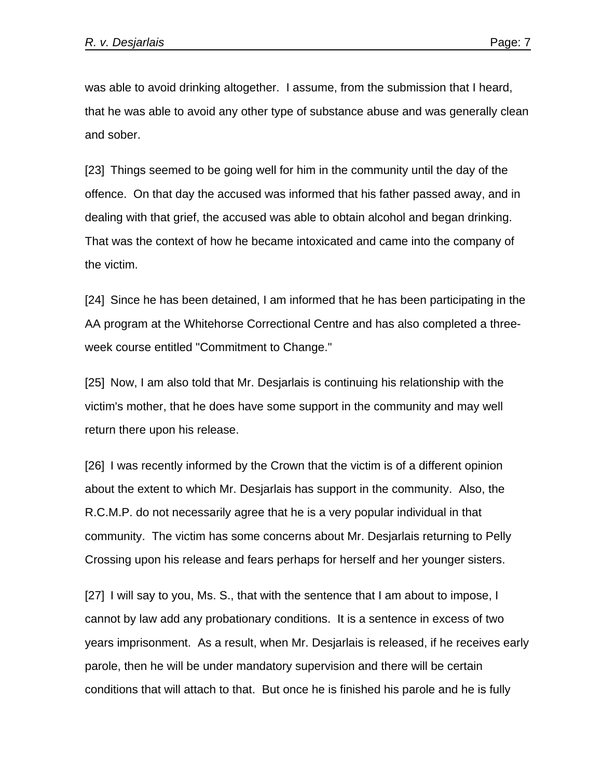was able to avoid drinking altogether. I assume, from the submission that I heard, that he was able to avoid any other type of substance abuse and was generally clean and sober.

[23] Things seemed to be going well for him in the community until the day of the offence. On that day the accused was informed that his father passed away, and in dealing with that grief, the accused was able to obtain alcohol and began drinking. That was the context of how he became intoxicated and came into the company of the victim.

[24] Since he has been detained, I am informed that he has been participating in the AA program at the Whitehorse Correctional Centre and has also completed a threeweek course entitled "Commitment to Change."

[25] Now, I am also told that Mr. Desjarlais is continuing his relationship with the victim's mother, that he does have some support in the community and may well return there upon his release.

[26] I was recently informed by the Crown that the victim is of a different opinion about the extent to which Mr. Desjarlais has support in the community. Also, the R.C.M.P. do not necessarily agree that he is a very popular individual in that community. The victim has some concerns about Mr. Desjarlais returning to Pelly Crossing upon his release and fears perhaps for herself and her younger sisters.

[27] I will say to you, Ms. S., that with the sentence that I am about to impose, I cannot by law add any probationary conditions. It is a sentence in excess of two years imprisonment. As a result, when Mr. Desjarlais is released, if he receives early parole, then he will be under mandatory supervision and there will be certain conditions that will attach to that. But once he is finished his parole and he is fully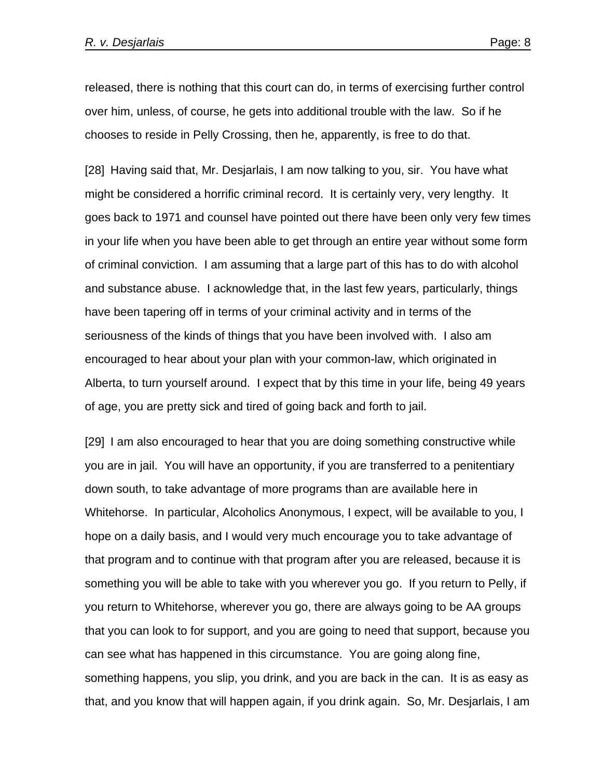released, there is nothing that this court can do, in terms of exercising further control over him, unless, of course, he gets into additional trouble with the law. So if he chooses to reside in Pelly Crossing, then he, apparently, is free to do that.

[28] Having said that, Mr. Desjarlais, I am now talking to you, sir. You have what might be considered a horrific criminal record. It is certainly very, very lengthy. It goes back to 1971 and counsel have pointed out there have been only very few times in your life when you have been able to get through an entire year without some form of criminal conviction. I am assuming that a large part of this has to do with alcohol and substance abuse. I acknowledge that, in the last few years, particularly, things have been tapering off in terms of your criminal activity and in terms of the seriousness of the kinds of things that you have been involved with. I also am encouraged to hear about your plan with your common-law, which originated in Alberta, to turn yourself around. I expect that by this time in your life, being 49 years of age, you are pretty sick and tired of going back and forth to jail.

[29] I am also encouraged to hear that you are doing something constructive while you are in jail. You will have an opportunity, if you are transferred to a penitentiary down south, to take advantage of more programs than are available here in Whitehorse. In particular, Alcoholics Anonymous, I expect, will be available to you, I hope on a daily basis, and I would very much encourage you to take advantage of that program and to continue with that program after you are released, because it is something you will be able to take with you wherever you go. If you return to Pelly, if you return to Whitehorse, wherever you go, there are always going to be AA groups that you can look to for support, and you are going to need that support, because you can see what has happened in this circumstance. You are going along fine, something happens, you slip, you drink, and you are back in the can. It is as easy as that, and you know that will happen again, if you drink again. So, Mr. Desjarlais, I am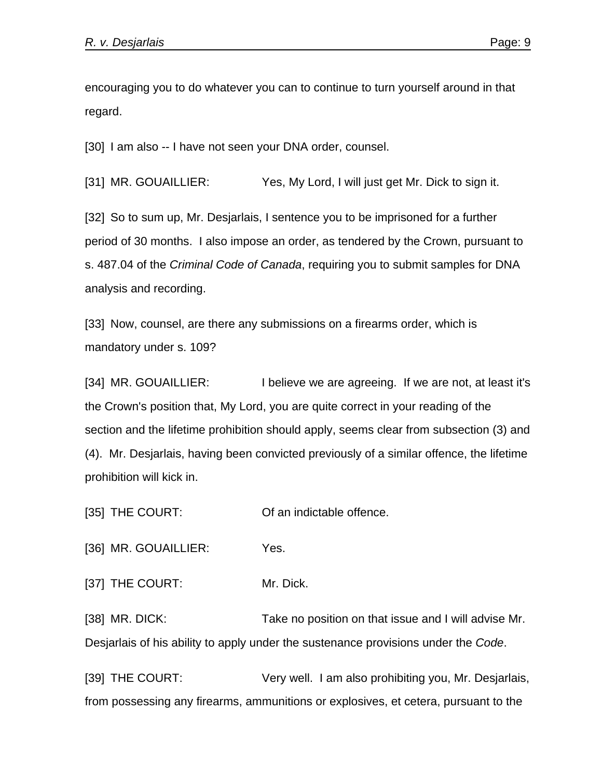encouraging you to do whatever you can to continue to turn yourself around in that regard.

[30] I am also -- I have not seen your DNA order, counsel.

[31] MR. GOUAILLIER: Yes, My Lord, I will just get Mr. Dick to sign it.

[32] So to sum up, Mr. Desjarlais, I sentence you to be imprisoned for a further period of 30 months. I also impose an order, as tendered by the Crown, pursuant to s. 487.04 of the *Criminal Code of Canada*, requiring you to submit samples for DNA analysis and recording.

[33] Now, counsel, are there any submissions on a firearms order, which is mandatory under s. 109?

[34] MR. GOUAILLIER: I believe we are agreeing. If we are not, at least it's the Crown's position that, My Lord, you are quite correct in your reading of the section and the lifetime prohibition should apply, seems clear from subsection (3) and (4). Mr. Desjarlais, having been convicted previously of a similar offence, the lifetime prohibition will kick in.

[35] THE COURT: Of an indictable offence.

[36] MR. GOUAILLIER: Yes.

[37] THE COURT: Mr. Dick.

[38] MR. DICK: Take no position on that issue and I will advise Mr. Desjarlais of his ability to apply under the sustenance provisions under the *Code*.

[39] THE COURT: Very well. I am also prohibiting you, Mr. Desjarlais, from possessing any firearms, ammunitions or explosives, et cetera, pursuant to the